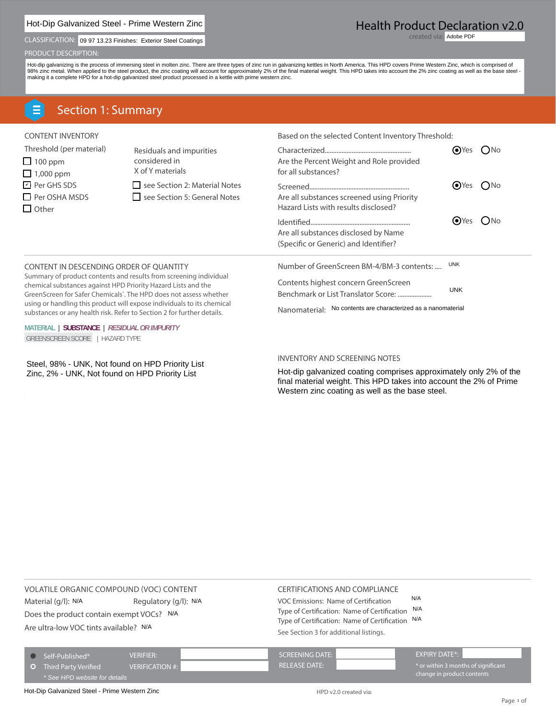# Hot-Dip Galvanized Steel - Prime Western Zinc

CLASSIFICATION: 09 97 13.23 Finishes: Exterior Steel Coatings and Content of Content of Content of Content of Content of Content of Content of Content of Content of Content of Content of Content of Content of Content of Co

#### PRODUCT DESCRIPTION:

Hot-dip galvanizing is the process of immersing steel in molten zinc. There are three types of zinc run in galvanizing kettles in North America. This HPD covers Prime Western Zinc, which is comprised of<br>98% zinc metal. Whe

# Section 1: Summary

| <b>CONTENT INVENTORY</b>                                                                                                                |                                                                                                                                                                                                                               | Based on the selected Content Inventory Threshold:                                                                                              |              |            |
|-----------------------------------------------------------------------------------------------------------------------------------------|-------------------------------------------------------------------------------------------------------------------------------------------------------------------------------------------------------------------------------|-------------------------------------------------------------------------------------------------------------------------------------------------|--------------|------------|
| Threshold (per material)<br>$\Box$ 100 ppm<br>$\Box$ 1,000 ppm                                                                          | Residuals and impurities<br>considered in<br>X of Y materials                                                                                                                                                                 | Are the Percent Weight and Role provided<br>for all substances?                                                                                 | $OYes$ ( )No |            |
| <b>□</b> Per GHS SDS<br>$\Box$ Per OSHA MSDS<br>$\Box$ Other                                                                            | see Section 2: Material Notes<br>see Section 5: General Notes                                                                                                                                                                 | Are all substances screened using Priority<br>Hazard Lists with results disclosed?                                                              | $\odot$ Yes  | ( )No      |
|                                                                                                                                         |                                                                                                                                                                                                                               | Are all substances disclosed by Name<br>(Specific or Generic) and Identifier?                                                                   | (●)Yes       | $($ ) $No$ |
| CONTENT IN DESCENDING ORDER OF QUANTITY                                                                                                 |                                                                                                                                                                                                                               | Number of GreenScreen BM-4/BM-3 contents:                                                                                                       | <b>UNK</b>   |            |
| chemical substances against HPD Priority Hazard Lists and the<br>substances or any health risk. Refer to Section 2 for further details. | Summary of product contents and results from screening individual<br>GreenScreen for Safer Chemicals <sup>®</sup> . The HPD does not assess whether<br>using or handling this product will expose individuals to its chemical | Contents highest concern GreenScreen<br>Benchmark or List Translator Score:<br>No contents are characterized as a nanomaterial<br>Nanomaterial: | <b>UNK</b>   |            |

**MATERIAL | SUBSTANCE |** *RESIDUAL OR IMPURITY* GREENSCREEN SCORE | HAZARD TYPE

 $I$ Zinc, 2% - UNK, Not found on HPD Priority List

#### INVENTORY AND SCREENING NOTES

Hot-dip galvanized coating comprises approximately only 2% of the final material weight. This HPD takes into account the 2% of Prime Western zinc coating as well as the base steel.

VOLATILE ORGANIC COMPOUND (VOC) CONTENT

Material (g/l): N/A Regulatory (g/l): N/A

Does the product contain exempt VOCs? N/A

Are ultra-low VOC tints available? N/A

#### CERTIFICATIONS AND COMPLIANCE

VOC Emissions: Name of Certification N/A Regulatory (g/l): N/A VOC Emissions: Name of Certification N/A<br>
Unit contain exempt VOCs? N/A Type of Certification: Name of Certification N/A<br>
Type of Certification: Name of Certification N/A Type of Certification: Name of Certification N/A See Section 3 for additional listings.

| $\bigcirc$ Self-Published*    | <b>VERIFIER:</b>       | <b>SCREENING DATE:</b>                          | EXPIRY DATE*:                       |
|-------------------------------|------------------------|-------------------------------------------------|-------------------------------------|
| <b>O</b> Third Party Verified | <b>VERIFICATION #:</b> | $\blacktriangle$ RELEASE DATE: $\blacktriangle$ | * or within 3 months of significant |
| * See HPD website for details |                        |                                                 | change in product contents          |

Hot-Dip Galvanized Steel - Prime Western Zinc<br>
HPD v2.0 created via:

# Health Product Declaration v2.0

created via: Adobe PDF

**Steel, 98% - UNK, Not found on HPD Priority List**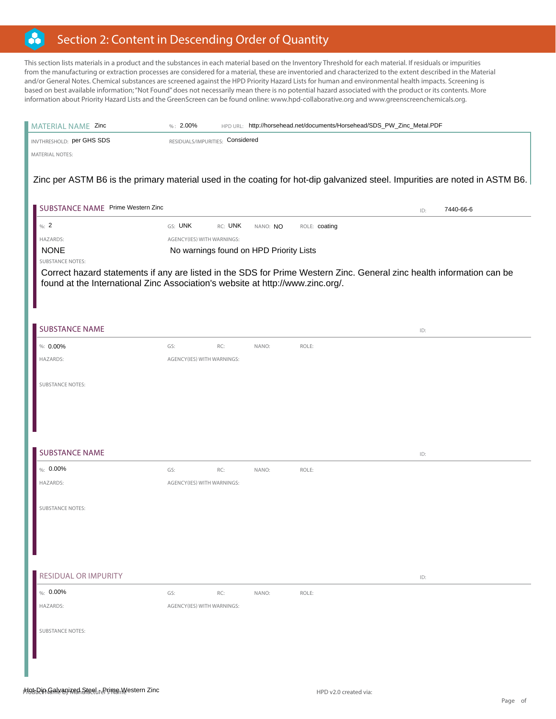#### B Section 2: Content in Descending Order of Quantity

This section lists materials in a product and the substances in each material based on the Inventory Threshold for each material. If residuals or impurities from the manufacturing or extraction processes are considered for a material, these are inventoried and characterized to the extent described in the Material and/or General Notes. Chemical substances are screened against the HPD Priority Hazard Lists for human and environmental health impacts. Screening is based on best available information; "Not Found" does not necessarily mean there is no potential hazard associated with the product or its contents. More information about Priority Hazard Lists and the GreenScreen can be found online: www.hpd-collaborative.org and www.greenscreenchemicals.org.

| MATERIAL NAME Zinc                                                             | $%: 2.00\%$                             |                     | HPD URL: http://horsehead.net/documents/Horsehead/SDS_PW_Zinc_Metal.PDF |                                                                                                                             |
|--------------------------------------------------------------------------------|-----------------------------------------|---------------------|-------------------------------------------------------------------------|-----------------------------------------------------------------------------------------------------------------------------|
| INVTHRESHOLD: per GHS SDS                                                      | RESIDUALS/IMPURITIES: Considered        |                     |                                                                         |                                                                                                                             |
| <b>MATERIAL NOTES:</b>                                                         |                                         |                     |                                                                         |                                                                                                                             |
|                                                                                |                                         |                     |                                                                         |                                                                                                                             |
|                                                                                |                                         |                     |                                                                         | Zinc per ASTM B6 is the primary material used in the coating for hot-dip galvanized steel. Impurities are noted in ASTM B6. |
|                                                                                |                                         |                     |                                                                         |                                                                                                                             |
| SUBSTANCE NAME Prime Western Zinc                                              |                                         |                     |                                                                         | 7440-66-6<br>ID:                                                                                                            |
| %2                                                                             | GS: UNK                                 | RC: UNK<br>NANO: NO | ROLE: coating                                                           |                                                                                                                             |
| HAZARDS:                                                                       | AGENCY(IES) WITH WARNINGS:              |                     |                                                                         |                                                                                                                             |
| <b>NONE</b>                                                                    | No warnings found on HPD Priority Lists |                     |                                                                         |                                                                                                                             |
| <b>SUBSTANCE NOTES:</b>                                                        |                                         |                     |                                                                         | Correct hazard statements if any are listed in the SDS for Prime Western Zinc. General zinc health information can be       |
| found at the International Zinc Association's website at http://www.zinc.org/. |                                         |                     |                                                                         |                                                                                                                             |
|                                                                                |                                         |                     |                                                                         |                                                                                                                             |
|                                                                                |                                         |                     |                                                                         |                                                                                                                             |
|                                                                                |                                         |                     |                                                                         |                                                                                                                             |
| <b>SUBSTANCE NAME</b>                                                          |                                         |                     |                                                                         | ID:                                                                                                                         |
| %: 0.00%                                                                       | RC:<br>GS:                              | NANO:               | ROLE:                                                                   |                                                                                                                             |
| HAZARDS:                                                                       | AGENCY(IES) WITH WARNINGS:              |                     |                                                                         |                                                                                                                             |
|                                                                                |                                         |                     |                                                                         |                                                                                                                             |
| <b>SUBSTANCE NOTES:</b>                                                        |                                         |                     |                                                                         |                                                                                                                             |
|                                                                                |                                         |                     |                                                                         |                                                                                                                             |
|                                                                                |                                         |                     |                                                                         |                                                                                                                             |
|                                                                                |                                         |                     |                                                                         |                                                                                                                             |
|                                                                                |                                         |                     |                                                                         |                                                                                                                             |
| <b>SUBSTANCE NAME</b>                                                          |                                         |                     |                                                                         | ID:                                                                                                                         |
| $%10.00\%$                                                                     | GS:<br>RC:                              | NANO:               | ROLE:                                                                   |                                                                                                                             |
| HAZARDS:                                                                       | AGENCY(IES) WITH WARNINGS:              |                     |                                                                         |                                                                                                                             |
|                                                                                |                                         |                     |                                                                         |                                                                                                                             |
| <b>SUBSTANCE NOTES:</b>                                                        |                                         |                     |                                                                         |                                                                                                                             |
|                                                                                |                                         |                     |                                                                         |                                                                                                                             |
|                                                                                |                                         |                     |                                                                         |                                                                                                                             |
|                                                                                |                                         |                     |                                                                         |                                                                                                                             |
|                                                                                |                                         |                     |                                                                         |                                                                                                                             |
| <b>RESIDUAL OR IMPURITY</b>                                                    |                                         |                     |                                                                         | ID:                                                                                                                         |
| %: 0.00%                                                                       | GS:<br>RC:                              | NANO:               | ROLE:                                                                   |                                                                                                                             |
| HAZARDS:                                                                       | AGENCY(IES) WITH WARNINGS:              |                     |                                                                         |                                                                                                                             |
|                                                                                |                                         |                     |                                                                         |                                                                                                                             |
| <b>SUBSTANCE NOTES:</b>                                                        |                                         |                     |                                                                         |                                                                                                                             |
|                                                                                |                                         |                     |                                                                         |                                                                                                                             |
|                                                                                |                                         |                     |                                                                         |                                                                                                                             |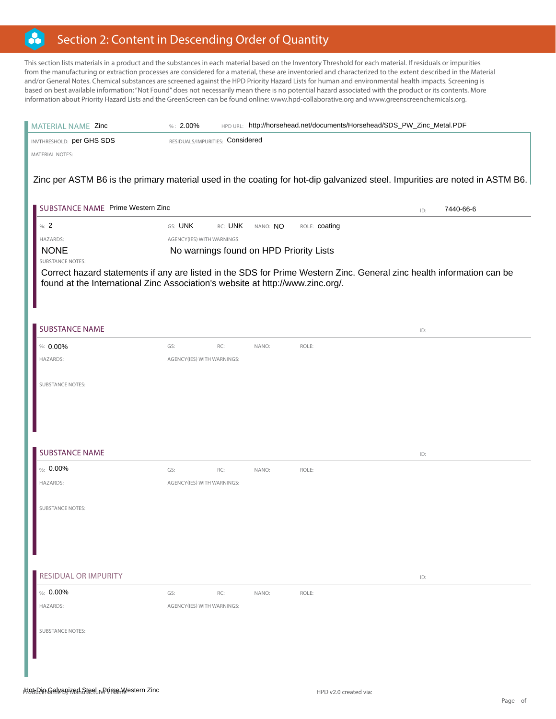#### B Section 2: Content in Descending Order of Quantity

This section lists materials in a product and the substances in each material based on the Inventory Threshold for each material. If residuals or impurities from the manufacturing or extraction processes are considered for a material, these are inventoried and characterized to the extent described in the Material and/or General Notes. Chemical substances are screened against the HPD Priority Hazard Lists for human and environmental health impacts. Screening is based on best available information; "Not Found" does not necessarily mean there is no potential hazard associated with the product or its contents. More information about Priority Hazard Lists and the GreenScreen can be found online: www.hpd-collaborative.org and www.greenscreenchemicals.org.

| MATERIAL NAME Zinc                                                                                                          | $%: 2.00\%$                      |         |                                         | HPD URL: http://horsehead.net/documents/Horsehead/SDS_PW_Zinc_Metal.PDF |     |           |
|-----------------------------------------------------------------------------------------------------------------------------|----------------------------------|---------|-----------------------------------------|-------------------------------------------------------------------------|-----|-----------|
| INVTHRESHOLD: per GHS SDS                                                                                                   | RESIDUALS/IMPURITIES: Considered |         |                                         |                                                                         |     |           |
| <b>MATERIAL NOTES:</b>                                                                                                      |                                  |         |                                         |                                                                         |     |           |
| Zinc per ASTM B6 is the primary material used in the coating for hot-dip galvanized steel. Impurities are noted in ASTM B6. |                                  |         |                                         |                                                                         |     |           |
|                                                                                                                             |                                  |         |                                         |                                                                         |     |           |
| SUBSTANCE NAME Prime Western Zinc                                                                                           |                                  |         |                                         |                                                                         | ID: | 7440-66-6 |
| %: $2$                                                                                                                      | GS: UNK                          | RC: UNK | NANO: NO                                | ROLE: coating                                                           |     |           |
| HAZARDS:                                                                                                                    | AGENCY(IES) WITH WARNINGS:       |         |                                         |                                                                         |     |           |
| <b>NONE</b>                                                                                                                 |                                  |         | No warnings found on HPD Priority Lists |                                                                         |     |           |
| <b>SUBSTANCE NOTES:</b>                                                                                                     |                                  |         |                                         |                                                                         |     |           |
| Correct hazard statements if any are listed in the SDS for Prime Western Zinc. General zinc health information can be       |                                  |         |                                         |                                                                         |     |           |
| found at the International Zinc Association's website at http://www.zinc.org/.                                              |                                  |         |                                         |                                                                         |     |           |
|                                                                                                                             |                                  |         |                                         |                                                                         |     |           |
|                                                                                                                             |                                  |         |                                         |                                                                         |     |           |
| <b>SUBSTANCE NAME</b>                                                                                                       |                                  |         |                                         |                                                                         | ID: |           |
| %: 0.00%                                                                                                                    | GS:                              | RC:     | NANO:                                   | ROLE:                                                                   |     |           |
| HAZARDS:                                                                                                                    | AGENCY(IES) WITH WARNINGS:       |         |                                         |                                                                         |     |           |
|                                                                                                                             |                                  |         |                                         |                                                                         |     |           |
| <b>SUBSTANCE NOTES:</b>                                                                                                     |                                  |         |                                         |                                                                         |     |           |
|                                                                                                                             |                                  |         |                                         |                                                                         |     |           |
|                                                                                                                             |                                  |         |                                         |                                                                         |     |           |
|                                                                                                                             |                                  |         |                                         |                                                                         |     |           |
|                                                                                                                             |                                  |         |                                         |                                                                         |     |           |
| <b>SUBSTANCE NAME</b>                                                                                                       |                                  |         |                                         |                                                                         | ID: |           |
| %: $0.00\%$                                                                                                                 | GS:                              | RC:     | NANO:                                   | ROLE:                                                                   |     |           |
| HAZARDS:                                                                                                                    | AGENCY(IES) WITH WARNINGS:       |         |                                         |                                                                         |     |           |
|                                                                                                                             |                                  |         |                                         |                                                                         |     |           |
| <b>SUBSTANCE NOTES:</b>                                                                                                     |                                  |         |                                         |                                                                         |     |           |
|                                                                                                                             |                                  |         |                                         |                                                                         |     |           |
|                                                                                                                             |                                  |         |                                         |                                                                         |     |           |
|                                                                                                                             |                                  |         |                                         |                                                                         |     |           |
|                                                                                                                             |                                  |         |                                         |                                                                         |     |           |
| <b>RESIDUAL OR IMPURITY</b>                                                                                                 |                                  |         |                                         |                                                                         | ID: |           |
| %: $0.00\%$                                                                                                                 | GS:                              | RC:     | NANO:                                   | ROLE:                                                                   |     |           |
| HAZARDS:                                                                                                                    | AGENCY(IES) WITH WARNINGS:       |         |                                         |                                                                         |     |           |
|                                                                                                                             |                                  |         |                                         |                                                                         |     |           |
| <b>SUBSTANCE NOTES:</b>                                                                                                     |                                  |         |                                         |                                                                         |     |           |
|                                                                                                                             |                                  |         |                                         |                                                                         |     |           |
|                                                                                                                             |                                  |         |                                         |                                                                         |     |           |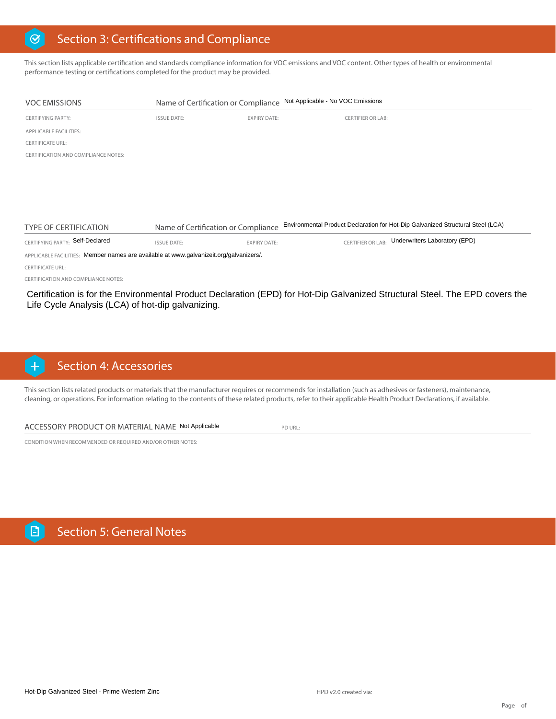#### Section 3: Certifications and Compliance  $\odot$

This section lists applicable certification and standards compliance information for VOC emissions and VOC content. Other types of health or environmental performance testing or certifications completed for the product may be provided.

| <b>VOC EMISSIONS</b>                                                                   |                    | Name of Certification or Compliance | Not Applicable - No VOC Emissions |                                                                                 |
|----------------------------------------------------------------------------------------|--------------------|-------------------------------------|-----------------------------------|---------------------------------------------------------------------------------|
| <b>CERTIFYING PARTY:</b>                                                               | <b>ISSUE DATE:</b> | <b>EXPIRY DATE:</b>                 | <b>CERTIFIER OR LAB:</b>          |                                                                                 |
| <b>APPLICABLE FACILITIES:</b>                                                          |                    |                                     |                                   |                                                                                 |
| <b>CERTIFICATE URL:</b>                                                                |                    |                                     |                                   |                                                                                 |
| CERTIFICATION AND COMPLIANCE NOTES:                                                    |                    |                                     |                                   |                                                                                 |
|                                                                                        |                    |                                     |                                   |                                                                                 |
|                                                                                        |                    |                                     |                                   |                                                                                 |
|                                                                                        |                    |                                     |                                   |                                                                                 |
|                                                                                        |                    |                                     |                                   |                                                                                 |
|                                                                                        |                    |                                     |                                   |                                                                                 |
| <b>TYPE OF CERTIFICATION</b>                                                           |                    | Name of Certification or Compliance |                                   | Environmental Product Declaration for Hot-Dip Galvanized Structural Steel (LCA) |
| CERTIFYING PARTY: Self-Declared                                                        | <b>ISSUE DATE:</b> | <b>EXPIRY DATE:</b>                 |                                   | CERTIFIER OR LAB: Underwriters Laboratory (EPD)                                 |
| APPLICABLE FACILITIES: Member names are available at www.galvanizeit.org/galvanizers/. |                    |                                     |                                   |                                                                                 |
| <b>CERTIFICATE URL:</b>                                                                |                    |                                     |                                   |                                                                                 |
| CERTIFICATION AND COMPLIANCE NOTES.                                                    |                    |                                     |                                   |                                                                                 |

Certification is for the Environmental Product Declaration (EPD) for Hot-Dip Galvanized Structural Steel. The EPD covers the Life Cycle Analysis (LCA) of hot-dip galvanizing.

#### Section 4: Accessories  $\overline{+}$

This section lists related products or materials that the manufacturer requires or recommends for installation (such as adhesives or fasteners), maintenance, cleaning, or operations. For information relating to the contents of these related products, refer to their applicable Health Product Declarations, if available.

#### ACCESSORY PRODUCT OR MATERIAL NAME Not Applicable FOR URL:

CONDITION WHEN RECOMMENDED OR REQUIRED AND/OR OTHER NOTES: